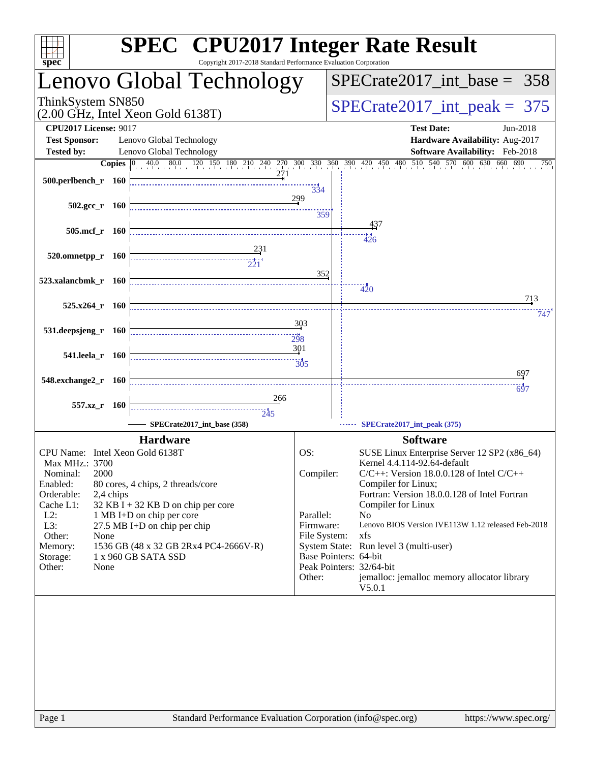| spec <sup>®</sup>                                                                                 | Copyright 2017-2018 Standard Performance Evaluation Corporation | <b>SPEC<sup>®</sup></b> CPU2017 Integer Rate Result                           |
|---------------------------------------------------------------------------------------------------|-----------------------------------------------------------------|-------------------------------------------------------------------------------|
| Lenovo Global Technology                                                                          |                                                                 | $SPECrate2017\_int\_base = 358$                                               |
| ThinkSystem SN850<br>$(2.00 \text{ GHz}, \text{Intel Xeon Gold } 6138 \text{T})$                  |                                                                 | $SPECrate2017\_int\_peak = 375$                                               |
| <b>CPU2017 License: 9017</b>                                                                      |                                                                 | <b>Test Date:</b><br>Jun-2018                                                 |
| Lenovo Global Technology<br><b>Test Sponsor:</b><br><b>Tested by:</b><br>Lenovo Global Technology |                                                                 | Hardware Availability: Aug-2017<br>Software Availability: Feb-2018            |
|                                                                                                   |                                                                 | 750                                                                           |
| 500.perlbench_r 160                                                                               | 271<br>334                                                      |                                                                               |
|                                                                                                   | 299                                                             |                                                                               |
| $502.\text{gcc r}$ 160                                                                            | 359                                                             |                                                                               |
| 505.mcf_r 160                                                                                     |                                                                 | 437                                                                           |
|                                                                                                   |                                                                 | 426                                                                           |
| 520.omnetpp_r 160<br>$\overbrace{1}$                                                              |                                                                 |                                                                               |
|                                                                                                   | 352                                                             |                                                                               |
| 523.xalancbmk_r 160                                                                               |                                                                 | 420                                                                           |
| $525.x264$ r 160                                                                                  |                                                                 | 713                                                                           |
|                                                                                                   | 303                                                             | 747                                                                           |
| 531.deepsjeng_r 160                                                                               | 298                                                             |                                                                               |
|                                                                                                   | 301                                                             |                                                                               |
| 541.leela_r 160                                                                                   |                                                                 |                                                                               |
| 548.exchange2_r 160                                                                               |                                                                 | 697                                                                           |
|                                                                                                   | 266                                                             | 697                                                                           |
| 557.xz_r 160                                                                                      | $\frac{1}{245}$                                                 |                                                                               |
| SPECrate2017_int_base (358)                                                                       |                                                                 | SPECrate2017_int_peak (375)                                                   |
| <b>Hardware</b>                                                                                   |                                                                 | <b>Software</b>                                                               |
| CPU Name: Intel Xeon Gold 6138T                                                                   | OS:                                                             | SUSE Linux Enterprise Server 12 SP2 (x86_64)                                  |
| Max MHz.: 3700<br>2000<br>Nominal:                                                                | Compiler:                                                       | Kernel 4.4.114-92.64-default<br>$C/C++$ : Version 18.0.0.128 of Intel $C/C++$ |
| Enabled:<br>80 cores, 4 chips, 2 threads/core                                                     |                                                                 | Compiler for Linux;                                                           |
| Orderable:<br>2,4 chips<br>Cache L1:<br>32 KB I + 32 KB D on chip per core                        |                                                                 | Fortran: Version 18.0.0.128 of Intel Fortran<br>Compiler for Linux            |
| $L2$ :<br>1 MB I+D on chip per core                                                               | Parallel:                                                       | N <sub>o</sub>                                                                |
| L3:<br>$27.5$ MB I+D on chip per chip<br>Other:<br>None                                           | Firmware:<br>File System:                                       | Lenovo BIOS Version IVE113W 1.12 released Feb-2018<br>xfs                     |
| 1536 GB (48 x 32 GB 2Rx4 PC4-2666V-R)<br>Memory:                                                  |                                                                 | System State: Run level 3 (multi-user)                                        |
| 1 x 960 GB SATA SSD<br>Storage:                                                                   |                                                                 | Base Pointers: 64-bit<br>Peak Pointers: 32/64-bit                             |
| Other:<br>None                                                                                    | Other:                                                          | jemalloc: jemalloc memory allocator library                                   |
|                                                                                                   |                                                                 | V5.0.1                                                                        |
|                                                                                                   |                                                                 |                                                                               |
|                                                                                                   |                                                                 |                                                                               |
|                                                                                                   |                                                                 |                                                                               |
|                                                                                                   |                                                                 |                                                                               |
|                                                                                                   |                                                                 |                                                                               |
|                                                                                                   |                                                                 |                                                                               |
|                                                                                                   |                                                                 |                                                                               |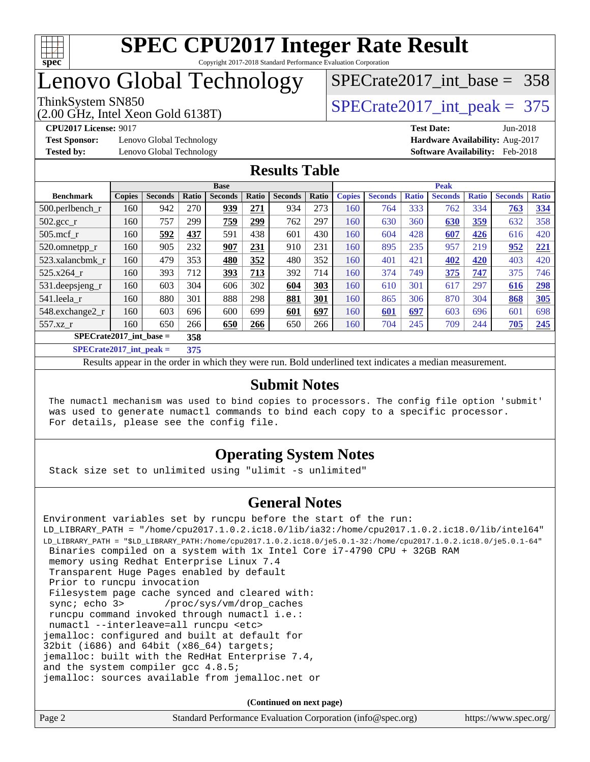

### Lenovo Global Technology

(2.00 GHz, Intel Xeon Gold 6138T)

ThinkSystem SN850<br>  $(2.00 \text{ GHz. Intel Yoon Gold } 6138 \text{T})$   $\text{SPECTate} 2017\_int\_peak = 375$ 

[SPECrate2017\\_int\\_base =](http://www.spec.org/auto/cpu2017/Docs/result-fields.html#SPECrate2017intbase) 358

**[Test Sponsor:](http://www.spec.org/auto/cpu2017/Docs/result-fields.html#TestSponsor)** Lenovo Global Technology **[Hardware Availability:](http://www.spec.org/auto/cpu2017/Docs/result-fields.html#HardwareAvailability)** Aug-2017

**[CPU2017 License:](http://www.spec.org/auto/cpu2017/Docs/result-fields.html#CPU2017License)** 9017 **[Test Date:](http://www.spec.org/auto/cpu2017/Docs/result-fields.html#TestDate)** Jun-2018 **[Tested by:](http://www.spec.org/auto/cpu2017/Docs/result-fields.html#Testedby)** Lenovo Global Technology **[Software Availability:](http://www.spec.org/auto/cpu2017/Docs/result-fields.html#SoftwareAvailability)** Feb-2018

#### **[Results Table](http://www.spec.org/auto/cpu2017/Docs/result-fields.html#ResultsTable)**

| <b>Base</b>               |                                    |                |         |                |       | <b>Peak</b>    |       |               |                |              |                |              |                |              |
|---------------------------|------------------------------------|----------------|---------|----------------|-------|----------------|-------|---------------|----------------|--------------|----------------|--------------|----------------|--------------|
| <b>Benchmark</b>          | <b>Copies</b>                      | <b>Seconds</b> | Ratio   | <b>Seconds</b> | Ratio | <b>Seconds</b> | Ratio | <b>Copies</b> | <b>Seconds</b> | <b>Ratio</b> | <b>Seconds</b> | <b>Ratio</b> | <b>Seconds</b> | <b>Ratio</b> |
| $500.$ perlbench_r        | 160                                | 942            | 270     | 939            | 271   | 934            | 273   | 160           | 764            | 333          | 762            | 334          | 763            | 334          |
| $502.\text{sec}$          | 160                                | 757            | 299     | 759            | 299   | 762            | 297   | 160           | 630            | 360          | 630            | <u>359</u>   | 632            | 358          |
| $505$ .mcf r              | 160                                | 592            | 437     | 591            | 438   | 601            | 430   | 160           | 604            | 428          | 607            | 426          | 616            | 420          |
| 520.omnetpp_r             | 160                                | 905            | 232     | 907            | 231   | 910            | 231   | 160           | 895            | 235          | 957            | 219          | 952            | 221          |
| 523.xalancbmk r           | 160                                | 479            | 353     | 480            | 352   | 480            | 352   | 160           | 401            | 421          | 402            | 420          | 403            | 420          |
| 525.x264 r                | 160                                | 393            | 712     | 393            | 713   | 392            | 714   | 160           | 374            | 749          | 375            | 747          | 375            | 746          |
| 531.deepsjeng_r           | 160                                | 603            | 304     | 606            | 302   | 604            | 303   | 160           | 610            | 301          | 617            | 297          | 616            | 298          |
| 541.leela r               | 160                                | 880            | 301     | 888            | 298   | 881            | 301   | 160           | 865            | 306          | 870            | 304          | 868            | 305          |
| 548.exchange2_r           | 160                                | 603            | 696     | 600            | 699   | 601            | 697   | 160           | 601            | 697          | 603            | 696          | 601            | 698          |
| 557.xz r                  | 160                                | 650            | 266     | 650            | 266   | 650            | 266   | 160           | 704            | 245          | 709            | 244          | 705            | 245          |
| $SPECrate2017$ int base = |                                    |                | 358     |                |       |                |       |               |                |              |                |              |                |              |
| $\alpha$                  | $\sim$ $\sim$ $\sim$ $\sim$ $\sim$ |                | $- - -$ |                |       |                |       |               |                |              |                |              |                |              |

**[SPECrate2017\\_int\\_peak =](http://www.spec.org/auto/cpu2017/Docs/result-fields.html#SPECrate2017intpeak) 375**

Results appear in the [order in which they were run](http://www.spec.org/auto/cpu2017/Docs/result-fields.html#RunOrder). Bold underlined text [indicates a median measurement](http://www.spec.org/auto/cpu2017/Docs/result-fields.html#Median).

#### **[Submit Notes](http://www.spec.org/auto/cpu2017/Docs/result-fields.html#SubmitNotes)**

 The numactl mechanism was used to bind copies to processors. The config file option 'submit' was used to generate numactl commands to bind each copy to a specific processor. For details, please see the config file.

#### **[Operating System Notes](http://www.spec.org/auto/cpu2017/Docs/result-fields.html#OperatingSystemNotes)**

Stack size set to unlimited using "ulimit -s unlimited"

#### **[General Notes](http://www.spec.org/auto/cpu2017/Docs/result-fields.html#GeneralNotes)**

Environment variables set by runcpu before the start of the run: LD\_LIBRARY\_PATH = "/home/cpu2017.1.0.2.ic18.0/lib/ia32:/home/cpu2017.1.0.2.ic18.0/lib/intel64" LD\_LIBRARY\_PATH = "\$LD\_LIBRARY\_PATH:/home/cpu2017.1.0.2.ic18.0/je5.0.1-32:/home/cpu2017.1.0.2.ic18.0/je5.0.1-64" Binaries compiled on a system with 1x Intel Core i7-4790 CPU + 32GB RAM memory using Redhat Enterprise Linux 7.4 Transparent Huge Pages enabled by default Prior to runcpu invocation Filesystem page cache synced and cleared with: sync; echo 3> /proc/sys/vm/drop\_caches runcpu command invoked through numactl i.e.: numactl --interleave=all runcpu <etc> jemalloc: configured and built at default for 32bit (i686) and 64bit (x86\_64) targets; jemalloc: built with the RedHat Enterprise 7.4, and the system compiler gcc 4.8.5; jemalloc: sources available from jemalloc.net or

**(Continued on next page)**

| Page 2<br>Standard Performance Evaluation Corporation (info@spec.org)<br>https://www.spec.org/ |  |
|------------------------------------------------------------------------------------------------|--|
|------------------------------------------------------------------------------------------------|--|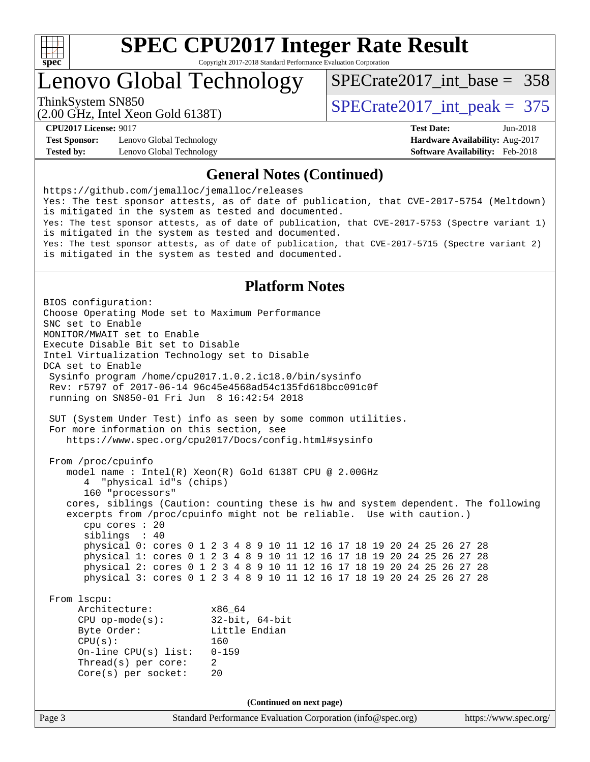

# **[SPEC CPU2017 Integer Rate Result](http://www.spec.org/auto/cpu2017/Docs/result-fields.html#SPECCPU2017IntegerRateResult)**

Copyright 2017-2018 Standard Performance Evaluation Corporation

### Lenovo Global Technology

[SPECrate2017\\_int\\_base =](http://www.spec.org/auto/cpu2017/Docs/result-fields.html#SPECrate2017intbase) 358

(2.00 GHz, Intel Xeon Gold 6138T)

ThinkSystem SN850<br>  $(2.00 \text{ GHz. Intel Yoon Gold } 6138 \text{T})$   $\text{SPECrate} 2017\_int\_peak = 375$ 

**[Test Sponsor:](http://www.spec.org/auto/cpu2017/Docs/result-fields.html#TestSponsor)** Lenovo Global Technology **[Hardware Availability:](http://www.spec.org/auto/cpu2017/Docs/result-fields.html#HardwareAvailability)** Aug-2017 **[Tested by:](http://www.spec.org/auto/cpu2017/Docs/result-fields.html#Testedby)** Lenovo Global Technology **[Software Availability:](http://www.spec.org/auto/cpu2017/Docs/result-fields.html#SoftwareAvailability)** Feb-2018

**[CPU2017 License:](http://www.spec.org/auto/cpu2017/Docs/result-fields.html#CPU2017License)** 9017 **[Test Date:](http://www.spec.org/auto/cpu2017/Docs/result-fields.html#TestDate)** Jun-2018

#### **[General Notes \(Continued\)](http://www.spec.org/auto/cpu2017/Docs/result-fields.html#GeneralNotes)**

<https://github.com/jemalloc/jemalloc/releases> Yes: The test sponsor attests, as of date of publication, that CVE-2017-5754 (Meltdown) is mitigated in the system as tested and documented. Yes: The test sponsor attests, as of date of publication, that CVE-2017-5753 (Spectre variant 1) is mitigated in the system as tested and documented. Yes: The test sponsor attests, as of date of publication, that CVE-2017-5715 (Spectre variant 2) is mitigated in the system as tested and documented.

#### **[Platform Notes](http://www.spec.org/auto/cpu2017/Docs/result-fields.html#PlatformNotes)**

Page 3 Standard Performance Evaluation Corporation [\(info@spec.org\)](mailto:info@spec.org) <https://www.spec.org/> BIOS configuration: Choose Operating Mode set to Maximum Performance SNC set to Enable MONITOR/MWAIT set to Enable Execute Disable Bit set to Disable Intel Virtualization Technology set to Disable DCA set to Enable Sysinfo program /home/cpu2017.1.0.2.ic18.0/bin/sysinfo Rev: r5797 of 2017-06-14 96c45e4568ad54c135fd618bcc091c0f running on SN850-01 Fri Jun 8 16:42:54 2018 SUT (System Under Test) info as seen by some common utilities. For more information on this section, see <https://www.spec.org/cpu2017/Docs/config.html#sysinfo> From /proc/cpuinfo model name : Intel(R) Xeon(R) Gold 6138T CPU @ 2.00GHz 4 "physical id"s (chips) 160 "processors" cores, siblings (Caution: counting these is hw and system dependent. The following excerpts from /proc/cpuinfo might not be reliable. Use with caution.) cpu cores : 20 siblings : 40 physical 0: cores 0 1 2 3 4 8 9 10 11 12 16 17 18 19 20 24 25 26 27 28 physical 1: cores 0 1 2 3 4 8 9 10 11 12 16 17 18 19 20 24 25 26 27 28 physical 2: cores 0 1 2 3 4 8 9 10 11 12 16 17 18 19 20 24 25 26 27 28 physical 3: cores 0 1 2 3 4 8 9 10 11 12 16 17 18 19 20 24 25 26 27 28 From lscpu: Architecture: x86\_64 CPU op-mode(s): 32-bit, 64-bit Byte Order: Little Endian CPU(s): 160 On-line CPU(s) list: 0-159 Thread(s) per core: 2 Core(s) per socket: 20 **(Continued on next page)**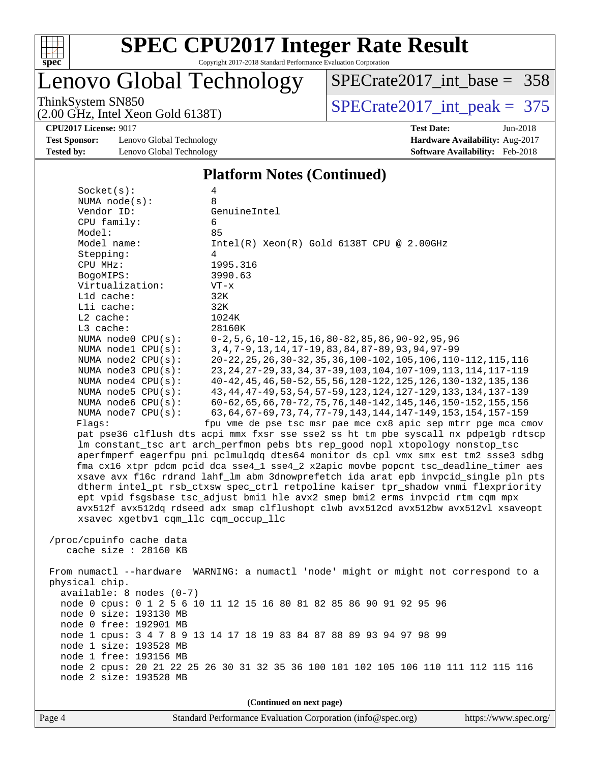

### Lenovo Global Technology

[SPECrate2017\\_int\\_base =](http://www.spec.org/auto/cpu2017/Docs/result-fields.html#SPECrate2017intbase) 358

(2.00 GHz, Intel Xeon Gold 6138T)

ThinkSystem SN850<br>  $(2.00 \text{ GHz})$  Intel Xeon Gold 6138T)

**[CPU2017 License:](http://www.spec.org/auto/cpu2017/Docs/result-fields.html#CPU2017License)** 9017 **[Test Date:](http://www.spec.org/auto/cpu2017/Docs/result-fields.html#TestDate)** Jun-2018

**[Test Sponsor:](http://www.spec.org/auto/cpu2017/Docs/result-fields.html#TestSponsor)** Lenovo Global Technology **[Hardware Availability:](http://www.spec.org/auto/cpu2017/Docs/result-fields.html#HardwareAvailability)** Aug-2017 **[Tested by:](http://www.spec.org/auto/cpu2017/Docs/result-fields.html#Testedby)** Lenovo Global Technology **[Software Availability:](http://www.spec.org/auto/cpu2017/Docs/result-fields.html#SoftwareAvailability)** Feb-2018

### **[Platform Notes \(Continued\)](http://www.spec.org/auto/cpu2017/Docs/result-fields.html#PlatformNotes)**

| Socket(s):                           | 4                                                                                    |
|--------------------------------------|--------------------------------------------------------------------------------------|
| NUMA $node(s):$                      | 8                                                                                    |
| Vendor ID:                           | GenuineIntel                                                                         |
| CPU family:                          | 6                                                                                    |
| Model:                               | 85                                                                                   |
| Model name:                          | $Intel(R) Xeon(R) Gold 6138T CPU @ 2.00GHz$                                          |
| Stepping:                            | 4                                                                                    |
| CPU MHz:                             | 1995.316                                                                             |
| BogoMIPS:                            | 3990.63                                                                              |
| Virtualization:                      | $VT - x$                                                                             |
| Lld cache:                           | 32K                                                                                  |
| Lli cache:                           | 32K                                                                                  |
| $L2$ cache:                          | 1024K                                                                                |
| L3 cache:                            | 28160K                                                                               |
| NUMA node0 CPU(s):                   | $0-2, 5, 6, 10-12, 15, 16, 80-82, 85, 86, 90-92, 95, 96$                             |
| NUMA nodel CPU(s):                   | 3, 4, 7-9, 13, 14, 17-19, 83, 84, 87-89, 93, 94, 97-99                               |
| NUMA $node2$ $CPU(s):$               | 20-22, 25, 26, 30-32, 35, 36, 100-102, 105, 106, 110-112, 115, 116                   |
| NUMA node3 CPU(s):                   | 23, 24, 27-29, 33, 34, 37-39, 103, 104, 107-109, 113, 114, 117-119                   |
| NUMA $node4$ $CPU(s):$               | 40-42, 45, 46, 50-52, 55, 56, 120-122, 125, 126, 130-132, 135, 136                   |
| NUMA node5 CPU(s):                   | 43, 44, 47-49, 53, 54, 57-59, 123, 124, 127-129, 133, 134, 137-139                   |
| NUMA node6 CPU(s):                   | 60-62, 65, 66, 70-72, 75, 76, 140-142, 145, 146, 150-152, 155, 156                   |
| NUMA $node7$ CPU $(s)$ :             | 63, 64, 67-69, 73, 74, 77-79, 143, 144, 147-149, 153, 154, 157-159                   |
| Flags:                               | fpu vme de pse tsc msr pae mce cx8 apic sep mtrr pge mca cmov                        |
|                                      | pat pse36 clflush dts acpi mmx fxsr sse sse2 ss ht tm pbe syscall nx pdpelgb rdtscp  |
|                                      | lm constant_tsc art arch_perfmon pebs bts rep_good nopl xtopology nonstop_tsc        |
|                                      | aperfmperf eagerfpu pni pclmulqdq dtes64 monitor ds_cpl vmx smx est tm2 ssse3 sdbg   |
|                                      | fma cx16 xtpr pdcm pcid dca sse4_1 sse4_2 x2apic movbe popcnt tsc_deadline_timer aes |
|                                      | xsave avx f16c rdrand lahf_lm abm 3dnowprefetch ida arat epb invpcid_single pln pts  |
|                                      | dtherm intel_pt rsb_ctxsw spec_ctrl retpoline kaiser tpr_shadow vnmi flexpriority    |
|                                      | ept vpid fsgsbase tsc_adjust bmil hle avx2 smep bmi2 erms invpcid rtm cqm mpx        |
|                                      | avx512f avx512dq rdseed adx smap clflushopt clwb avx512cd avx512bw avx512vl xsaveopt |
| xsavec xgetbvl cqm_llc cqm_occup_llc |                                                                                      |
|                                      |                                                                                      |
| /proc/cpuinfo cache data             |                                                                                      |
| cache size : 28160 KB                |                                                                                      |
|                                      |                                                                                      |
|                                      | From numactl --hardware WARNING: a numactl 'node' might or might not correspond to a |
| physical chip.                       |                                                                                      |
| available: 8 nodes (0-7)             |                                                                                      |
|                                      | node 0 cpus: 0 1 2 5 6 10 11 12 15 16 80 81 82 85 86 90 91 92 95 96                  |
| node 0 size: 193130 MB               |                                                                                      |
| node 0 free: 192901 MB               |                                                                                      |
|                                      | node 1 cpus: 3 4 7 8 9 13 14 17 18 19 83 84 87 88 89 93 94 97 98 99                  |
| node 1 size: 193528 MB               |                                                                                      |
| node 1 free: 193156 MB               |                                                                                      |
|                                      | node 2 cpus: 20 21 22 25 26 30 31 32 35 36 100 101 102 105 106 110 111 112 115 116   |
| node 2 size: 193528 MB               |                                                                                      |

**(Continued on next page)**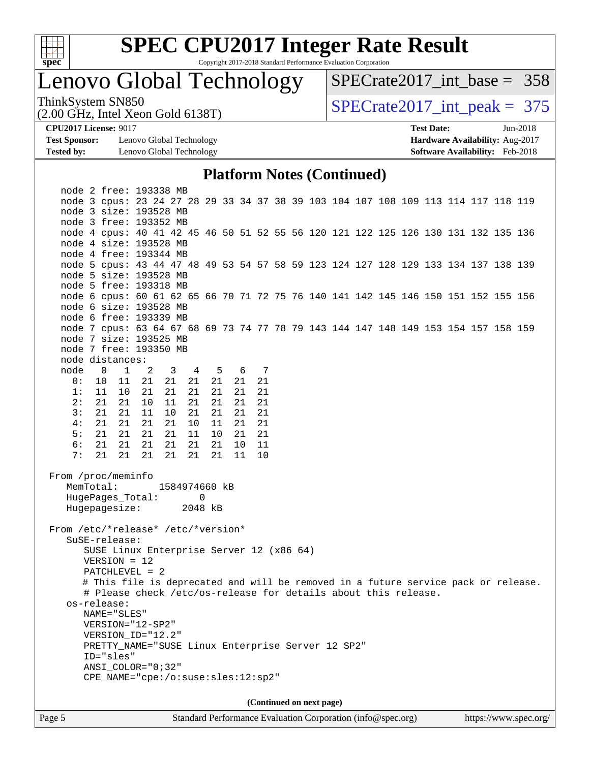

# **[SPEC CPU2017 Integer Rate Result](http://www.spec.org/auto/cpu2017/Docs/result-fields.html#SPECCPU2017IntegerRateResult)**

Copyright 2017-2018 Standard Performance Evaluation Corporation

### Lenovo Global Technology

 $SPECrate2017\_int\_base = 358$ 

(2.00 GHz, Intel Xeon Gold 6138T)

ThinkSystem SN850<br>  $(2.00 \text{ GHz. Intel Yoon Gold } 6138 \text{T})$   $\text{SPECTate} 2017\_int\_peak = 375$ 

**[Test Sponsor:](http://www.spec.org/auto/cpu2017/Docs/result-fields.html#TestSponsor)** Lenovo Global Technology **[Hardware Availability:](http://www.spec.org/auto/cpu2017/Docs/result-fields.html#HardwareAvailability)** Aug-2017 **[Tested by:](http://www.spec.org/auto/cpu2017/Docs/result-fields.html#Testedby)** Lenovo Global Technology **[Software Availability:](http://www.spec.org/auto/cpu2017/Docs/result-fields.html#SoftwareAvailability)** Feb-2018

**[CPU2017 License:](http://www.spec.org/auto/cpu2017/Docs/result-fields.html#CPU2017License)** 9017 **[Test Date:](http://www.spec.org/auto/cpu2017/Docs/result-fields.html#TestDate)** Jun-2018

#### **[Platform Notes \(Continued\)](http://www.spec.org/auto/cpu2017/Docs/result-fields.html#PlatformNotes)**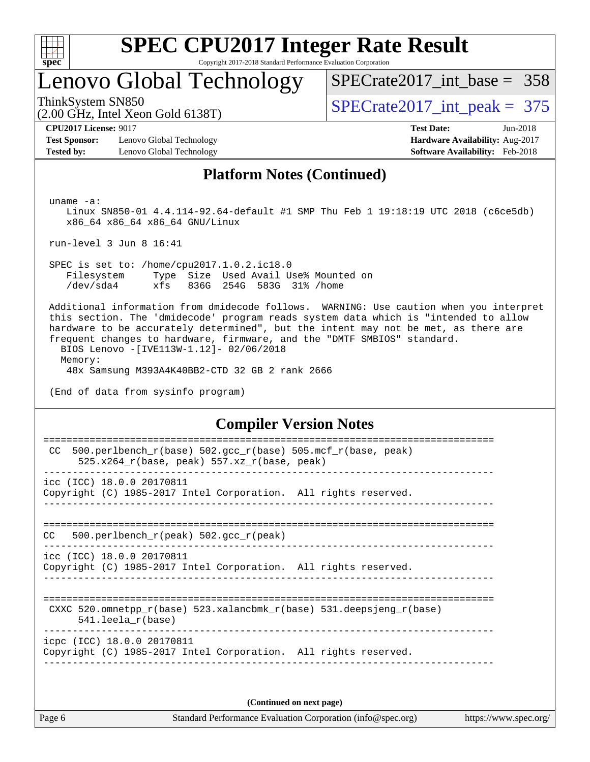

### Lenovo Global Technology

[SPECrate2017\\_int\\_base =](http://www.spec.org/auto/cpu2017/Docs/result-fields.html#SPECrate2017intbase) 358

(2.00 GHz, Intel Xeon Gold 6138T)

ThinkSystem SN850<br>  $\frac{1}{2}$  [SPECrate2017\\_int\\_peak =](http://www.spec.org/auto/cpu2017/Docs/result-fields.html#SPECrate2017intpeak) 375

**[Test Sponsor:](http://www.spec.org/auto/cpu2017/Docs/result-fields.html#TestSponsor)** Lenovo Global Technology **[Hardware Availability:](http://www.spec.org/auto/cpu2017/Docs/result-fields.html#HardwareAvailability)** Aug-2017 **[Tested by:](http://www.spec.org/auto/cpu2017/Docs/result-fields.html#Testedby)** Lenovo Global Technology **[Software Availability:](http://www.spec.org/auto/cpu2017/Docs/result-fields.html#SoftwareAvailability)** Feb-2018

**[CPU2017 License:](http://www.spec.org/auto/cpu2017/Docs/result-fields.html#CPU2017License)** 9017 **[Test Date:](http://www.spec.org/auto/cpu2017/Docs/result-fields.html#TestDate)** Jun-2018

#### **[Platform Notes \(Continued\)](http://www.spec.org/auto/cpu2017/Docs/result-fields.html#PlatformNotes)**

uname -a:

 Linux SN850-01 4.4.114-92.64-default #1 SMP Thu Feb 1 19:18:19 UTC 2018 (c6ce5db) x86\_64 x86\_64 x86\_64 GNU/Linux

run-level 3 Jun 8 16:41

 SPEC is set to: /home/cpu2017.1.0.2.ic18.0 Filesystem Type Size Used Avail Use% Mounted on /dev/sda4 xfs 836G 254G 583G 31% /home

 Additional information from dmidecode follows. WARNING: Use caution when you interpret this section. The 'dmidecode' program reads system data which is "intended to allow hardware to be accurately determined", but the intent may not be met, as there are frequent changes to hardware, firmware, and the "DMTF SMBIOS" standard. BIOS Lenovo -[IVE113W-1.12]- 02/06/2018 Memory:

48x Samsung M393A4K40BB2-CTD 32 GB 2 rank 2666

(End of data from sysinfo program)

#### **[Compiler Version Notes](http://www.spec.org/auto/cpu2017/Docs/result-fields.html#CompilerVersionNotes)**

| 500.perlbench_r(base) 502.gcc_r(base) 505.mcf_r(base, peak)<br>CC.<br>$525.x264_r(base, peak) 557.xz_r(base, peak)$ |
|---------------------------------------------------------------------------------------------------------------------|
| icc (ICC) 18.0.0 20170811<br>Copyright (C) 1985-2017 Intel Corporation. All rights reserved.                        |
| 500.perlbench_r(peak) 502.gcc_r(peak)<br>CC.                                                                        |
| icc (ICC) 18.0.0 20170811<br>Copyright (C) 1985-2017 Intel Corporation. All rights reserved.                        |
| CXXC 520.omnetpp $r(base)$ 523.xalancbmk $r(base)$ 531.deepsjeng $r(base)$<br>$541.$ leela $r(base)$                |
| icpc (ICC) 18.0.0 20170811<br>Copyright (C) 1985-2017 Intel Corporation. All rights reserved.                       |
| (Continued on next page)                                                                                            |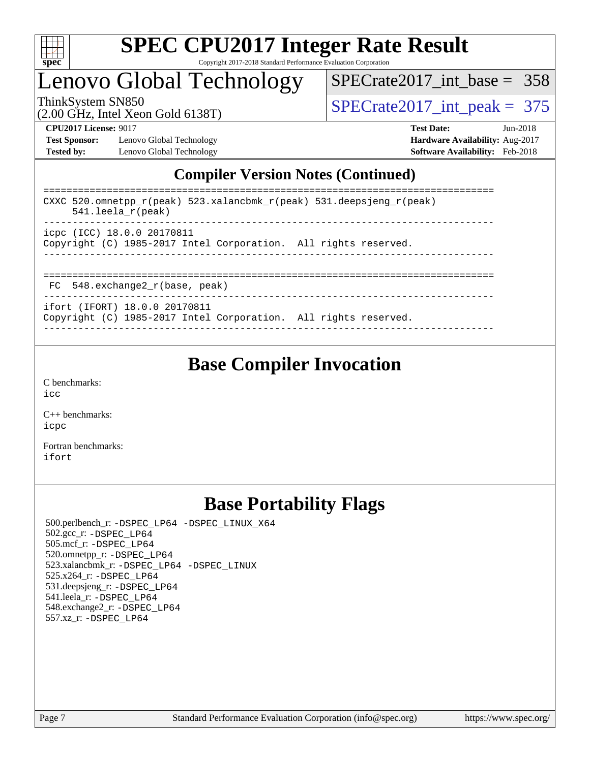

### Lenovo Global Technology

[SPECrate2017\\_int\\_base =](http://www.spec.org/auto/cpu2017/Docs/result-fields.html#SPECrate2017intbase) 358

(2.00 GHz, Intel Xeon Gold 6138T)

ThinkSystem SN850<br>(2.00 GHz, Intel Xeon Gold 6138T)  $\text{SPECrate2017\_int\_peak} = 375$ 

**[Test Sponsor:](http://www.spec.org/auto/cpu2017/Docs/result-fields.html#TestSponsor)** Lenovo Global Technology **[Hardware Availability:](http://www.spec.org/auto/cpu2017/Docs/result-fields.html#HardwareAvailability)** Aug-2017 **[Tested by:](http://www.spec.org/auto/cpu2017/Docs/result-fields.html#Testedby)** Lenovo Global Technology **[Software Availability:](http://www.spec.org/auto/cpu2017/Docs/result-fields.html#SoftwareAvailability)** Feb-2018

**[CPU2017 License:](http://www.spec.org/auto/cpu2017/Docs/result-fields.html#CPU2017License)** 9017 **[Test Date:](http://www.spec.org/auto/cpu2017/Docs/result-fields.html#TestDate)** Jun-2018

### **[Compiler Version Notes \(Continued\)](http://www.spec.org/auto/cpu2017/Docs/result-fields.html#CompilerVersionNotes)**

| CXXC 520.omnetpp $r(\text{peak})$ 523.xalancbmk $r(\text{peak})$ 531.deepsjeng $r(\text{peak})$<br>$541.$ leela r(peak) |
|-------------------------------------------------------------------------------------------------------------------------|
| icpc (ICC) 18.0.0 20170811<br>Copyright (C) 1985-2017 Intel Corporation. All rights reserved.                           |
| $FC$ 548. exchange2 $r(base, peak)$                                                                                     |

----------------------------------------------------------------------------- ifort (IFORT) 18.0.0 20170811 Copyright (C) 1985-2017 Intel Corporation. All rights reserved.

------------------------------------------------------------------------------

### **[Base Compiler Invocation](http://www.spec.org/auto/cpu2017/Docs/result-fields.html#BaseCompilerInvocation)**

[C benchmarks](http://www.spec.org/auto/cpu2017/Docs/result-fields.html#Cbenchmarks): [icc](http://www.spec.org/cpu2017/results/res2018q2/cpu2017-20180611-06814.flags.html#user_CCbase_intel_icc_18.0_66fc1ee009f7361af1fbd72ca7dcefbb700085f36577c54f309893dd4ec40d12360134090235512931783d35fd58c0460139e722d5067c5574d8eaf2b3e37e92)

[C++ benchmarks:](http://www.spec.org/auto/cpu2017/Docs/result-fields.html#CXXbenchmarks) [icpc](http://www.spec.org/cpu2017/results/res2018q2/cpu2017-20180611-06814.flags.html#user_CXXbase_intel_icpc_18.0_c510b6838c7f56d33e37e94d029a35b4a7bccf4766a728ee175e80a419847e808290a9b78be685c44ab727ea267ec2f070ec5dc83b407c0218cded6866a35d07)

[Fortran benchmarks](http://www.spec.org/auto/cpu2017/Docs/result-fields.html#Fortranbenchmarks): [ifort](http://www.spec.org/cpu2017/results/res2018q2/cpu2017-20180611-06814.flags.html#user_FCbase_intel_ifort_18.0_8111460550e3ca792625aed983ce982f94888b8b503583aa7ba2b8303487b4d8a21a13e7191a45c5fd58ff318f48f9492884d4413fa793fd88dd292cad7027ca)

### **[Base Portability Flags](http://www.spec.org/auto/cpu2017/Docs/result-fields.html#BasePortabilityFlags)**

 500.perlbench\_r: [-DSPEC\\_LP64](http://www.spec.org/cpu2017/results/res2018q2/cpu2017-20180611-06814.flags.html#b500.perlbench_r_basePORTABILITY_DSPEC_LP64) [-DSPEC\\_LINUX\\_X64](http://www.spec.org/cpu2017/results/res2018q2/cpu2017-20180611-06814.flags.html#b500.perlbench_r_baseCPORTABILITY_DSPEC_LINUX_X64) 502.gcc\_r: [-DSPEC\\_LP64](http://www.spec.org/cpu2017/results/res2018q2/cpu2017-20180611-06814.flags.html#suite_basePORTABILITY502_gcc_r_DSPEC_LP64) 505.mcf\_r: [-DSPEC\\_LP64](http://www.spec.org/cpu2017/results/res2018q2/cpu2017-20180611-06814.flags.html#suite_basePORTABILITY505_mcf_r_DSPEC_LP64) 520.omnetpp\_r: [-DSPEC\\_LP64](http://www.spec.org/cpu2017/results/res2018q2/cpu2017-20180611-06814.flags.html#suite_basePORTABILITY520_omnetpp_r_DSPEC_LP64) 523.xalancbmk\_r: [-DSPEC\\_LP64](http://www.spec.org/cpu2017/results/res2018q2/cpu2017-20180611-06814.flags.html#suite_basePORTABILITY523_xalancbmk_r_DSPEC_LP64) [-DSPEC\\_LINUX](http://www.spec.org/cpu2017/results/res2018q2/cpu2017-20180611-06814.flags.html#b523.xalancbmk_r_baseCXXPORTABILITY_DSPEC_LINUX) 525.x264\_r: [-DSPEC\\_LP64](http://www.spec.org/cpu2017/results/res2018q2/cpu2017-20180611-06814.flags.html#suite_basePORTABILITY525_x264_r_DSPEC_LP64) 531.deepsjeng\_r: [-DSPEC\\_LP64](http://www.spec.org/cpu2017/results/res2018q2/cpu2017-20180611-06814.flags.html#suite_basePORTABILITY531_deepsjeng_r_DSPEC_LP64) 541.leela\_r: [-DSPEC\\_LP64](http://www.spec.org/cpu2017/results/res2018q2/cpu2017-20180611-06814.flags.html#suite_basePORTABILITY541_leela_r_DSPEC_LP64) 548.exchange2\_r: [-DSPEC\\_LP64](http://www.spec.org/cpu2017/results/res2018q2/cpu2017-20180611-06814.flags.html#suite_basePORTABILITY548_exchange2_r_DSPEC_LP64) 557.xz\_r: [-DSPEC\\_LP64](http://www.spec.org/cpu2017/results/res2018q2/cpu2017-20180611-06814.flags.html#suite_basePORTABILITY557_xz_r_DSPEC_LP64)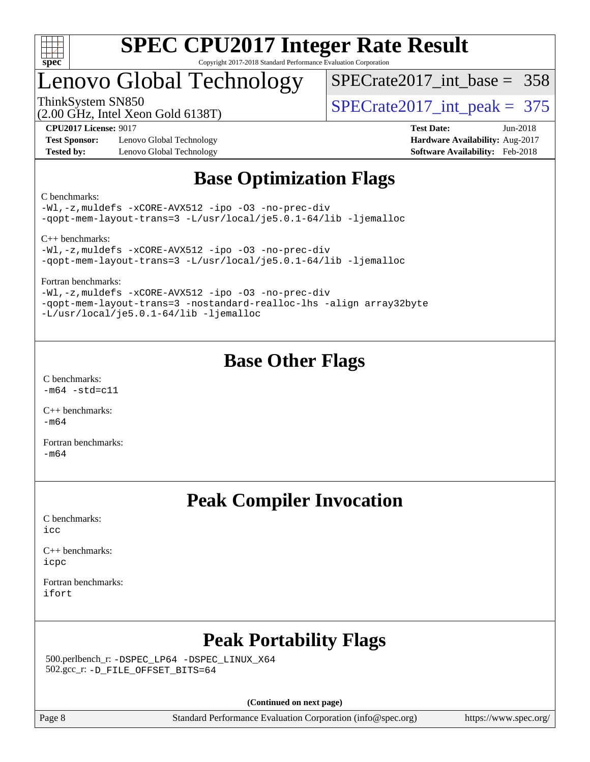

### Lenovo Global Technology

[SPECrate2017\\_int\\_base =](http://www.spec.org/auto/cpu2017/Docs/result-fields.html#SPECrate2017intbase) 358

(2.00 GHz, Intel Xeon Gold 6138T)

ThinkSystem SN850<br>(2.00 GHz, Intel Xeon Gold 6138T)  $\text{SPECrate2017\_int\_peak} = 375$ 

**[Test Sponsor:](http://www.spec.org/auto/cpu2017/Docs/result-fields.html#TestSponsor)** Lenovo Global Technology **[Hardware Availability:](http://www.spec.org/auto/cpu2017/Docs/result-fields.html#HardwareAvailability)** Aug-2017 **[Tested by:](http://www.spec.org/auto/cpu2017/Docs/result-fields.html#Testedby)** Lenovo Global Technology **[Software Availability:](http://www.spec.org/auto/cpu2017/Docs/result-fields.html#SoftwareAvailability)** Feb-2018

**[CPU2017 License:](http://www.spec.org/auto/cpu2017/Docs/result-fields.html#CPU2017License)** 9017 **[Test Date:](http://www.spec.org/auto/cpu2017/Docs/result-fields.html#TestDate)** Jun-2018

### **[Base Optimization Flags](http://www.spec.org/auto/cpu2017/Docs/result-fields.html#BaseOptimizationFlags)**

[C benchmarks](http://www.spec.org/auto/cpu2017/Docs/result-fields.html#Cbenchmarks):

[-Wl,-z,muldefs](http://www.spec.org/cpu2017/results/res2018q2/cpu2017-20180611-06814.flags.html#user_CCbase_link_force_multiple1_b4cbdb97b34bdee9ceefcfe54f4c8ea74255f0b02a4b23e853cdb0e18eb4525ac79b5a88067c842dd0ee6996c24547a27a4b99331201badda8798ef8a743f577) [-xCORE-AVX512](http://www.spec.org/cpu2017/results/res2018q2/cpu2017-20180611-06814.flags.html#user_CCbase_f-xCORE-AVX512) [-ipo](http://www.spec.org/cpu2017/results/res2018q2/cpu2017-20180611-06814.flags.html#user_CCbase_f-ipo) [-O3](http://www.spec.org/cpu2017/results/res2018q2/cpu2017-20180611-06814.flags.html#user_CCbase_f-O3) [-no-prec-div](http://www.spec.org/cpu2017/results/res2018q2/cpu2017-20180611-06814.flags.html#user_CCbase_f-no-prec-div) [-qopt-mem-layout-trans=3](http://www.spec.org/cpu2017/results/res2018q2/cpu2017-20180611-06814.flags.html#user_CCbase_f-qopt-mem-layout-trans_de80db37974c74b1f0e20d883f0b675c88c3b01e9d123adea9b28688d64333345fb62bc4a798493513fdb68f60282f9a726aa07f478b2f7113531aecce732043) [-L/usr/local/je5.0.1-64/lib](http://www.spec.org/cpu2017/results/res2018q2/cpu2017-20180611-06814.flags.html#user_CCbase_jemalloc_link_path64_4b10a636b7bce113509b17f3bd0d6226c5fb2346b9178c2d0232c14f04ab830f976640479e5c33dc2bcbbdad86ecfb6634cbbd4418746f06f368b512fced5394) [-ljemalloc](http://www.spec.org/cpu2017/results/res2018q2/cpu2017-20180611-06814.flags.html#user_CCbase_jemalloc_link_lib_d1249b907c500fa1c0672f44f562e3d0f79738ae9e3c4a9c376d49f265a04b9c99b167ecedbf6711b3085be911c67ff61f150a17b3472be731631ba4d0471706)

[C++ benchmarks](http://www.spec.org/auto/cpu2017/Docs/result-fields.html#CXXbenchmarks):

[-Wl,-z,muldefs](http://www.spec.org/cpu2017/results/res2018q2/cpu2017-20180611-06814.flags.html#user_CXXbase_link_force_multiple1_b4cbdb97b34bdee9ceefcfe54f4c8ea74255f0b02a4b23e853cdb0e18eb4525ac79b5a88067c842dd0ee6996c24547a27a4b99331201badda8798ef8a743f577) [-xCORE-AVX512](http://www.spec.org/cpu2017/results/res2018q2/cpu2017-20180611-06814.flags.html#user_CXXbase_f-xCORE-AVX512) [-ipo](http://www.spec.org/cpu2017/results/res2018q2/cpu2017-20180611-06814.flags.html#user_CXXbase_f-ipo) [-O3](http://www.spec.org/cpu2017/results/res2018q2/cpu2017-20180611-06814.flags.html#user_CXXbase_f-O3) [-no-prec-div](http://www.spec.org/cpu2017/results/res2018q2/cpu2017-20180611-06814.flags.html#user_CXXbase_f-no-prec-div) [-qopt-mem-layout-trans=3](http://www.spec.org/cpu2017/results/res2018q2/cpu2017-20180611-06814.flags.html#user_CXXbase_f-qopt-mem-layout-trans_de80db37974c74b1f0e20d883f0b675c88c3b01e9d123adea9b28688d64333345fb62bc4a798493513fdb68f60282f9a726aa07f478b2f7113531aecce732043) [-L/usr/local/je5.0.1-64/lib](http://www.spec.org/cpu2017/results/res2018q2/cpu2017-20180611-06814.flags.html#user_CXXbase_jemalloc_link_path64_4b10a636b7bce113509b17f3bd0d6226c5fb2346b9178c2d0232c14f04ab830f976640479e5c33dc2bcbbdad86ecfb6634cbbd4418746f06f368b512fced5394) [-ljemalloc](http://www.spec.org/cpu2017/results/res2018q2/cpu2017-20180611-06814.flags.html#user_CXXbase_jemalloc_link_lib_d1249b907c500fa1c0672f44f562e3d0f79738ae9e3c4a9c376d49f265a04b9c99b167ecedbf6711b3085be911c67ff61f150a17b3472be731631ba4d0471706)

[Fortran benchmarks:](http://www.spec.org/auto/cpu2017/Docs/result-fields.html#Fortranbenchmarks)

[-Wl,-z,muldefs](http://www.spec.org/cpu2017/results/res2018q2/cpu2017-20180611-06814.flags.html#user_FCbase_link_force_multiple1_b4cbdb97b34bdee9ceefcfe54f4c8ea74255f0b02a4b23e853cdb0e18eb4525ac79b5a88067c842dd0ee6996c24547a27a4b99331201badda8798ef8a743f577) [-xCORE-AVX512](http://www.spec.org/cpu2017/results/res2018q2/cpu2017-20180611-06814.flags.html#user_FCbase_f-xCORE-AVX512) [-ipo](http://www.spec.org/cpu2017/results/res2018q2/cpu2017-20180611-06814.flags.html#user_FCbase_f-ipo) [-O3](http://www.spec.org/cpu2017/results/res2018q2/cpu2017-20180611-06814.flags.html#user_FCbase_f-O3) [-no-prec-div](http://www.spec.org/cpu2017/results/res2018q2/cpu2017-20180611-06814.flags.html#user_FCbase_f-no-prec-div) [-qopt-mem-layout-trans=3](http://www.spec.org/cpu2017/results/res2018q2/cpu2017-20180611-06814.flags.html#user_FCbase_f-qopt-mem-layout-trans_de80db37974c74b1f0e20d883f0b675c88c3b01e9d123adea9b28688d64333345fb62bc4a798493513fdb68f60282f9a726aa07f478b2f7113531aecce732043) [-nostandard-realloc-lhs](http://www.spec.org/cpu2017/results/res2018q2/cpu2017-20180611-06814.flags.html#user_FCbase_f_2003_std_realloc_82b4557e90729c0f113870c07e44d33d6f5a304b4f63d4c15d2d0f1fab99f5daaed73bdb9275d9ae411527f28b936061aa8b9c8f2d63842963b95c9dd6426b8a) [-align array32byte](http://www.spec.org/cpu2017/results/res2018q2/cpu2017-20180611-06814.flags.html#user_FCbase_align_array32byte_b982fe038af199962ba9a80c053b8342c548c85b40b8e86eb3cc33dee0d7986a4af373ac2d51c3f7cf710a18d62fdce2948f201cd044323541f22fc0fffc51b6) [-L/usr/local/je5.0.1-64/lib](http://www.spec.org/cpu2017/results/res2018q2/cpu2017-20180611-06814.flags.html#user_FCbase_jemalloc_link_path64_4b10a636b7bce113509b17f3bd0d6226c5fb2346b9178c2d0232c14f04ab830f976640479e5c33dc2bcbbdad86ecfb6634cbbd4418746f06f368b512fced5394) [-ljemalloc](http://www.spec.org/cpu2017/results/res2018q2/cpu2017-20180611-06814.flags.html#user_FCbase_jemalloc_link_lib_d1249b907c500fa1c0672f44f562e3d0f79738ae9e3c4a9c376d49f265a04b9c99b167ecedbf6711b3085be911c67ff61f150a17b3472be731631ba4d0471706)

### **[Base Other Flags](http://www.spec.org/auto/cpu2017/Docs/result-fields.html#BaseOtherFlags)**

[C benchmarks](http://www.spec.org/auto/cpu2017/Docs/result-fields.html#Cbenchmarks):  $-m64 - std= c11$  $-m64 - std= c11$ 

[C++ benchmarks:](http://www.spec.org/auto/cpu2017/Docs/result-fields.html#CXXbenchmarks) [-m64](http://www.spec.org/cpu2017/results/res2018q2/cpu2017-20180611-06814.flags.html#user_CXXbase_intel_intel64_18.0_af43caccfc8ded86e7699f2159af6efc7655f51387b94da716254467f3c01020a5059329e2569e4053f409e7c9202a7efc638f7a6d1ffb3f52dea4a3e31d82ab)

[Fortran benchmarks](http://www.spec.org/auto/cpu2017/Docs/result-fields.html#Fortranbenchmarks): [-m64](http://www.spec.org/cpu2017/results/res2018q2/cpu2017-20180611-06814.flags.html#user_FCbase_intel_intel64_18.0_af43caccfc8ded86e7699f2159af6efc7655f51387b94da716254467f3c01020a5059329e2569e4053f409e7c9202a7efc638f7a6d1ffb3f52dea4a3e31d82ab)

### **[Peak Compiler Invocation](http://www.spec.org/auto/cpu2017/Docs/result-fields.html#PeakCompilerInvocation)**

[C benchmarks](http://www.spec.org/auto/cpu2017/Docs/result-fields.html#Cbenchmarks): [icc](http://www.spec.org/cpu2017/results/res2018q2/cpu2017-20180611-06814.flags.html#user_CCpeak_intel_icc_18.0_66fc1ee009f7361af1fbd72ca7dcefbb700085f36577c54f309893dd4ec40d12360134090235512931783d35fd58c0460139e722d5067c5574d8eaf2b3e37e92)

[C++ benchmarks:](http://www.spec.org/auto/cpu2017/Docs/result-fields.html#CXXbenchmarks) [icpc](http://www.spec.org/cpu2017/results/res2018q2/cpu2017-20180611-06814.flags.html#user_CXXpeak_intel_icpc_18.0_c510b6838c7f56d33e37e94d029a35b4a7bccf4766a728ee175e80a419847e808290a9b78be685c44ab727ea267ec2f070ec5dc83b407c0218cded6866a35d07)

[Fortran benchmarks](http://www.spec.org/auto/cpu2017/Docs/result-fields.html#Fortranbenchmarks): [ifort](http://www.spec.org/cpu2017/results/res2018q2/cpu2017-20180611-06814.flags.html#user_FCpeak_intel_ifort_18.0_8111460550e3ca792625aed983ce982f94888b8b503583aa7ba2b8303487b4d8a21a13e7191a45c5fd58ff318f48f9492884d4413fa793fd88dd292cad7027ca)

### **[Peak Portability Flags](http://www.spec.org/auto/cpu2017/Docs/result-fields.html#PeakPortabilityFlags)**

 500.perlbench\_r: [-DSPEC\\_LP64](http://www.spec.org/cpu2017/results/res2018q2/cpu2017-20180611-06814.flags.html#b500.perlbench_r_peakPORTABILITY_DSPEC_LP64) [-DSPEC\\_LINUX\\_X64](http://www.spec.org/cpu2017/results/res2018q2/cpu2017-20180611-06814.flags.html#b500.perlbench_r_peakCPORTABILITY_DSPEC_LINUX_X64) 502.gcc\_r: [-D\\_FILE\\_OFFSET\\_BITS=64](http://www.spec.org/cpu2017/results/res2018q2/cpu2017-20180611-06814.flags.html#user_peakPORTABILITY502_gcc_r_file_offset_bits_64_5ae949a99b284ddf4e95728d47cb0843d81b2eb0e18bdfe74bbf0f61d0b064f4bda2f10ea5eb90e1dcab0e84dbc592acfc5018bc955c18609f94ddb8d550002c)

**(Continued on next page)**

Page 8 Standard Performance Evaluation Corporation [\(info@spec.org\)](mailto:info@spec.org) <https://www.spec.org/>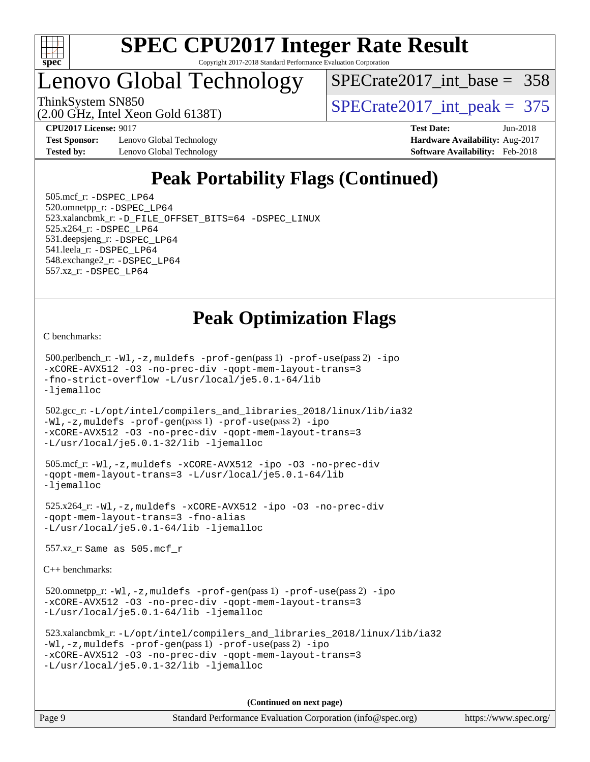

# **[SPEC CPU2017 Integer Rate Result](http://www.spec.org/auto/cpu2017/Docs/result-fields.html#SPECCPU2017IntegerRateResult)**

Copyright 2017-2018 Standard Performance Evaluation Corporation

### Lenovo Global Technology

 $SPECrate2017\_int\_base = 358$ 

(2.00 GHz, Intel Xeon Gold 6138T)

ThinkSystem SN850<br>  $(2.00 \text{ GHz. Intel Yoon Gold } 6138 \text{T})$   $\text{SPECrate} 2017\_int\_peak = 375$ 

**[Test Sponsor:](http://www.spec.org/auto/cpu2017/Docs/result-fields.html#TestSponsor)** Lenovo Global Technology **[Hardware Availability:](http://www.spec.org/auto/cpu2017/Docs/result-fields.html#HardwareAvailability)** Aug-2017 **[Tested by:](http://www.spec.org/auto/cpu2017/Docs/result-fields.html#Testedby)** Lenovo Global Technology **[Software Availability:](http://www.spec.org/auto/cpu2017/Docs/result-fields.html#SoftwareAvailability)** Feb-2018

**[CPU2017 License:](http://www.spec.org/auto/cpu2017/Docs/result-fields.html#CPU2017License)** 9017 **[Test Date:](http://www.spec.org/auto/cpu2017/Docs/result-fields.html#TestDate)** Jun-2018

### **[Peak Portability Flags \(Continued\)](http://www.spec.org/auto/cpu2017/Docs/result-fields.html#PeakPortabilityFlags)**

 505.mcf\_r: [-DSPEC\\_LP64](http://www.spec.org/cpu2017/results/res2018q2/cpu2017-20180611-06814.flags.html#suite_peakPORTABILITY505_mcf_r_DSPEC_LP64) 520.omnetpp\_r: [-DSPEC\\_LP64](http://www.spec.org/cpu2017/results/res2018q2/cpu2017-20180611-06814.flags.html#suite_peakPORTABILITY520_omnetpp_r_DSPEC_LP64) 523.xalancbmk\_r: [-D\\_FILE\\_OFFSET\\_BITS=64](http://www.spec.org/cpu2017/results/res2018q2/cpu2017-20180611-06814.flags.html#user_peakPORTABILITY523_xalancbmk_r_file_offset_bits_64_5ae949a99b284ddf4e95728d47cb0843d81b2eb0e18bdfe74bbf0f61d0b064f4bda2f10ea5eb90e1dcab0e84dbc592acfc5018bc955c18609f94ddb8d550002c) [-DSPEC\\_LINUX](http://www.spec.org/cpu2017/results/res2018q2/cpu2017-20180611-06814.flags.html#b523.xalancbmk_r_peakCXXPORTABILITY_DSPEC_LINUX) 525.x264\_r: [-DSPEC\\_LP64](http://www.spec.org/cpu2017/results/res2018q2/cpu2017-20180611-06814.flags.html#suite_peakPORTABILITY525_x264_r_DSPEC_LP64) 531.deepsjeng\_r: [-DSPEC\\_LP64](http://www.spec.org/cpu2017/results/res2018q2/cpu2017-20180611-06814.flags.html#suite_peakPORTABILITY531_deepsjeng_r_DSPEC_LP64) 541.leela\_r: [-DSPEC\\_LP64](http://www.spec.org/cpu2017/results/res2018q2/cpu2017-20180611-06814.flags.html#suite_peakPORTABILITY541_leela_r_DSPEC_LP64) 548.exchange2\_r: [-DSPEC\\_LP64](http://www.spec.org/cpu2017/results/res2018q2/cpu2017-20180611-06814.flags.html#suite_peakPORTABILITY548_exchange2_r_DSPEC_LP64) 557.xz\_r: [-DSPEC\\_LP64](http://www.spec.org/cpu2017/results/res2018q2/cpu2017-20180611-06814.flags.html#suite_peakPORTABILITY557_xz_r_DSPEC_LP64)

### **[Peak Optimization Flags](http://www.spec.org/auto/cpu2017/Docs/result-fields.html#PeakOptimizationFlags)**

[C benchmarks](http://www.spec.org/auto/cpu2017/Docs/result-fields.html#Cbenchmarks):

 500.perlbench\_r: [-Wl,-z,muldefs](http://www.spec.org/cpu2017/results/res2018q2/cpu2017-20180611-06814.flags.html#user_peakEXTRA_LDFLAGS500_perlbench_r_link_force_multiple1_b4cbdb97b34bdee9ceefcfe54f4c8ea74255f0b02a4b23e853cdb0e18eb4525ac79b5a88067c842dd0ee6996c24547a27a4b99331201badda8798ef8a743f577) [-prof-gen](http://www.spec.org/cpu2017/results/res2018q2/cpu2017-20180611-06814.flags.html#user_peakPASS1_CFLAGSPASS1_LDFLAGS500_perlbench_r_prof_gen_5aa4926d6013ddb2a31985c654b3eb18169fc0c6952a63635c234f711e6e63dd76e94ad52365559451ec499a2cdb89e4dc58ba4c67ef54ca681ffbe1461d6b36)(pass 1) [-prof-use](http://www.spec.org/cpu2017/results/res2018q2/cpu2017-20180611-06814.flags.html#user_peakPASS2_CFLAGSPASS2_LDFLAGS500_perlbench_r_prof_use_1a21ceae95f36a2b53c25747139a6c16ca95bd9def2a207b4f0849963b97e94f5260e30a0c64f4bb623698870e679ca08317ef8150905d41bd88c6f78df73f19)(pass 2) [-ipo](http://www.spec.org/cpu2017/results/res2018q2/cpu2017-20180611-06814.flags.html#user_peakPASS1_COPTIMIZEPASS2_COPTIMIZE500_perlbench_r_f-ipo) [-xCORE-AVX512](http://www.spec.org/cpu2017/results/res2018q2/cpu2017-20180611-06814.flags.html#user_peakPASS2_COPTIMIZE500_perlbench_r_f-xCORE-AVX512) [-O3](http://www.spec.org/cpu2017/results/res2018q2/cpu2017-20180611-06814.flags.html#user_peakPASS1_COPTIMIZEPASS2_COPTIMIZE500_perlbench_r_f-O3) [-no-prec-div](http://www.spec.org/cpu2017/results/res2018q2/cpu2017-20180611-06814.flags.html#user_peakPASS1_COPTIMIZEPASS2_COPTIMIZE500_perlbench_r_f-no-prec-div) [-qopt-mem-layout-trans=3](http://www.spec.org/cpu2017/results/res2018q2/cpu2017-20180611-06814.flags.html#user_peakPASS1_COPTIMIZEPASS2_COPTIMIZE500_perlbench_r_f-qopt-mem-layout-trans_de80db37974c74b1f0e20d883f0b675c88c3b01e9d123adea9b28688d64333345fb62bc4a798493513fdb68f60282f9a726aa07f478b2f7113531aecce732043) [-fno-strict-overflow](http://www.spec.org/cpu2017/results/res2018q2/cpu2017-20180611-06814.flags.html#user_peakEXTRA_OPTIMIZE500_perlbench_r_f-fno-strict-overflow) [-L/usr/local/je5.0.1-64/lib](http://www.spec.org/cpu2017/results/res2018q2/cpu2017-20180611-06814.flags.html#user_peakEXTRA_LIBS500_perlbench_r_jemalloc_link_path64_4b10a636b7bce113509b17f3bd0d6226c5fb2346b9178c2d0232c14f04ab830f976640479e5c33dc2bcbbdad86ecfb6634cbbd4418746f06f368b512fced5394) [-ljemalloc](http://www.spec.org/cpu2017/results/res2018q2/cpu2017-20180611-06814.flags.html#user_peakEXTRA_LIBS500_perlbench_r_jemalloc_link_lib_d1249b907c500fa1c0672f44f562e3d0f79738ae9e3c4a9c376d49f265a04b9c99b167ecedbf6711b3085be911c67ff61f150a17b3472be731631ba4d0471706)

 502.gcc\_r: [-L/opt/intel/compilers\\_and\\_libraries\\_2018/linux/lib/ia32](http://www.spec.org/cpu2017/results/res2018q2/cpu2017-20180611-06814.flags.html#user_peakCCLD502_gcc_r_Enable-32bit-runtime_af243bdb1d79e4c7a4f720bf8275e627de2ecd461de63307bc14cef0633fde3cd7bb2facb32dcc8be9566045fb55d40ce2b72b725f73827aa7833441b71b9343) [-Wl,-z,muldefs](http://www.spec.org/cpu2017/results/res2018q2/cpu2017-20180611-06814.flags.html#user_peakEXTRA_LDFLAGS502_gcc_r_link_force_multiple1_b4cbdb97b34bdee9ceefcfe54f4c8ea74255f0b02a4b23e853cdb0e18eb4525ac79b5a88067c842dd0ee6996c24547a27a4b99331201badda8798ef8a743f577) [-prof-gen](http://www.spec.org/cpu2017/results/res2018q2/cpu2017-20180611-06814.flags.html#user_peakPASS1_CFLAGSPASS1_LDFLAGS502_gcc_r_prof_gen_5aa4926d6013ddb2a31985c654b3eb18169fc0c6952a63635c234f711e6e63dd76e94ad52365559451ec499a2cdb89e4dc58ba4c67ef54ca681ffbe1461d6b36)(pass 1) [-prof-use](http://www.spec.org/cpu2017/results/res2018q2/cpu2017-20180611-06814.flags.html#user_peakPASS2_CFLAGSPASS2_LDFLAGS502_gcc_r_prof_use_1a21ceae95f36a2b53c25747139a6c16ca95bd9def2a207b4f0849963b97e94f5260e30a0c64f4bb623698870e679ca08317ef8150905d41bd88c6f78df73f19)(pass 2) [-ipo](http://www.spec.org/cpu2017/results/res2018q2/cpu2017-20180611-06814.flags.html#user_peakPASS1_COPTIMIZEPASS2_COPTIMIZE502_gcc_r_f-ipo) [-xCORE-AVX512](http://www.spec.org/cpu2017/results/res2018q2/cpu2017-20180611-06814.flags.html#user_peakPASS2_COPTIMIZE502_gcc_r_f-xCORE-AVX512) [-O3](http://www.spec.org/cpu2017/results/res2018q2/cpu2017-20180611-06814.flags.html#user_peakPASS1_COPTIMIZEPASS2_COPTIMIZE502_gcc_r_f-O3) [-no-prec-div](http://www.spec.org/cpu2017/results/res2018q2/cpu2017-20180611-06814.flags.html#user_peakPASS1_COPTIMIZEPASS2_COPTIMIZE502_gcc_r_f-no-prec-div) [-qopt-mem-layout-trans=3](http://www.spec.org/cpu2017/results/res2018q2/cpu2017-20180611-06814.flags.html#user_peakPASS1_COPTIMIZEPASS2_COPTIMIZE502_gcc_r_f-qopt-mem-layout-trans_de80db37974c74b1f0e20d883f0b675c88c3b01e9d123adea9b28688d64333345fb62bc4a798493513fdb68f60282f9a726aa07f478b2f7113531aecce732043) [-L/usr/local/je5.0.1-32/lib](http://www.spec.org/cpu2017/results/res2018q2/cpu2017-20180611-06814.flags.html#user_peakEXTRA_LIBS502_gcc_r_jemalloc_link_path32_e29f22e8e6c17053bbc6a0971f5a9c01a601a06bb1a59df2084b77a2fe0a2995b64fd4256feaeea39eeba3aae142e96e2b2b0a28974019c0c0c88139a84f900a) [-ljemalloc](http://www.spec.org/cpu2017/results/res2018q2/cpu2017-20180611-06814.flags.html#user_peakEXTRA_LIBS502_gcc_r_jemalloc_link_lib_d1249b907c500fa1c0672f44f562e3d0f79738ae9e3c4a9c376d49f265a04b9c99b167ecedbf6711b3085be911c67ff61f150a17b3472be731631ba4d0471706)

```
 505.mcf_r: -Wl,-z,muldefs -xCORE-AVX512 -ipo -O3 -no-prec-div
-qopt-mem-layout-trans=3 -L/usr/local/je5.0.1-64/lib
-ljemalloc
```
 525.x264\_r: [-Wl,-z,muldefs](http://www.spec.org/cpu2017/results/res2018q2/cpu2017-20180611-06814.flags.html#user_peakEXTRA_LDFLAGS525_x264_r_link_force_multiple1_b4cbdb97b34bdee9ceefcfe54f4c8ea74255f0b02a4b23e853cdb0e18eb4525ac79b5a88067c842dd0ee6996c24547a27a4b99331201badda8798ef8a743f577) [-xCORE-AVX512](http://www.spec.org/cpu2017/results/res2018q2/cpu2017-20180611-06814.flags.html#user_peakCOPTIMIZE525_x264_r_f-xCORE-AVX512) [-ipo](http://www.spec.org/cpu2017/results/res2018q2/cpu2017-20180611-06814.flags.html#user_peakCOPTIMIZE525_x264_r_f-ipo) [-O3](http://www.spec.org/cpu2017/results/res2018q2/cpu2017-20180611-06814.flags.html#user_peakCOPTIMIZE525_x264_r_f-O3) [-no-prec-div](http://www.spec.org/cpu2017/results/res2018q2/cpu2017-20180611-06814.flags.html#user_peakCOPTIMIZE525_x264_r_f-no-prec-div) [-qopt-mem-layout-trans=3](http://www.spec.org/cpu2017/results/res2018q2/cpu2017-20180611-06814.flags.html#user_peakCOPTIMIZE525_x264_r_f-qopt-mem-layout-trans_de80db37974c74b1f0e20d883f0b675c88c3b01e9d123adea9b28688d64333345fb62bc4a798493513fdb68f60282f9a726aa07f478b2f7113531aecce732043) [-fno-alias](http://www.spec.org/cpu2017/results/res2018q2/cpu2017-20180611-06814.flags.html#user_peakEXTRA_OPTIMIZE525_x264_r_f-no-alias_77dbac10d91cbfe898fbf4a29d1b29b694089caa623bdd1baccc9957d4edbe8d106c0b357e2748a65b44fc9e83d78098bb898077f3fe92f9faf24f7bd4a07ed7) [-L/usr/local/je5.0.1-64/lib](http://www.spec.org/cpu2017/results/res2018q2/cpu2017-20180611-06814.flags.html#user_peakEXTRA_LIBS525_x264_r_jemalloc_link_path64_4b10a636b7bce113509b17f3bd0d6226c5fb2346b9178c2d0232c14f04ab830f976640479e5c33dc2bcbbdad86ecfb6634cbbd4418746f06f368b512fced5394) [-ljemalloc](http://www.spec.org/cpu2017/results/res2018q2/cpu2017-20180611-06814.flags.html#user_peakEXTRA_LIBS525_x264_r_jemalloc_link_lib_d1249b907c500fa1c0672f44f562e3d0f79738ae9e3c4a9c376d49f265a04b9c99b167ecedbf6711b3085be911c67ff61f150a17b3472be731631ba4d0471706)

557.xz\_r: Same as 505.mcf\_r

[C++ benchmarks:](http://www.spec.org/auto/cpu2017/Docs/result-fields.html#CXXbenchmarks)

520.omnetpp\_r: $-Wl$ ,-z,muldefs -prof-qen(pass 1) [-prof-use](http://www.spec.org/cpu2017/results/res2018q2/cpu2017-20180611-06814.flags.html#user_peakPASS2_CXXFLAGSPASS2_LDFLAGS520_omnetpp_r_prof_use_1a21ceae95f36a2b53c25747139a6c16ca95bd9def2a207b4f0849963b97e94f5260e30a0c64f4bb623698870e679ca08317ef8150905d41bd88c6f78df73f19)(pass 2) [-ipo](http://www.spec.org/cpu2017/results/res2018q2/cpu2017-20180611-06814.flags.html#user_peakPASS1_CXXOPTIMIZEPASS2_CXXOPTIMIZE520_omnetpp_r_f-ipo) [-xCORE-AVX512](http://www.spec.org/cpu2017/results/res2018q2/cpu2017-20180611-06814.flags.html#user_peakPASS2_CXXOPTIMIZE520_omnetpp_r_f-xCORE-AVX512) [-O3](http://www.spec.org/cpu2017/results/res2018q2/cpu2017-20180611-06814.flags.html#user_peakPASS1_CXXOPTIMIZEPASS2_CXXOPTIMIZE520_omnetpp_r_f-O3) [-no-prec-div](http://www.spec.org/cpu2017/results/res2018q2/cpu2017-20180611-06814.flags.html#user_peakPASS1_CXXOPTIMIZEPASS2_CXXOPTIMIZE520_omnetpp_r_f-no-prec-div) [-qopt-mem-layout-trans=3](http://www.spec.org/cpu2017/results/res2018q2/cpu2017-20180611-06814.flags.html#user_peakPASS1_CXXOPTIMIZEPASS2_CXXOPTIMIZE520_omnetpp_r_f-qopt-mem-layout-trans_de80db37974c74b1f0e20d883f0b675c88c3b01e9d123adea9b28688d64333345fb62bc4a798493513fdb68f60282f9a726aa07f478b2f7113531aecce732043) [-L/usr/local/je5.0.1-64/lib](http://www.spec.org/cpu2017/results/res2018q2/cpu2017-20180611-06814.flags.html#user_peakEXTRA_LIBS520_omnetpp_r_jemalloc_link_path64_4b10a636b7bce113509b17f3bd0d6226c5fb2346b9178c2d0232c14f04ab830f976640479e5c33dc2bcbbdad86ecfb6634cbbd4418746f06f368b512fced5394) [-ljemalloc](http://www.spec.org/cpu2017/results/res2018q2/cpu2017-20180611-06814.flags.html#user_peakEXTRA_LIBS520_omnetpp_r_jemalloc_link_lib_d1249b907c500fa1c0672f44f562e3d0f79738ae9e3c4a9c376d49f265a04b9c99b167ecedbf6711b3085be911c67ff61f150a17b3472be731631ba4d0471706)

```
 523.xalancbmk_r: -L/opt/intel/compilers_and_libraries_2018/linux/lib/ia32
-Wl,-z,muldefs -prof-gen(pass 1) -prof-use(pass 2) -ipo
-xCORE-AVX512 -O3 -no-prec-div -qopt-mem-layout-trans=3
-L/usr/local/je5.0.1-32/lib -ljemalloc
```
**(Continued on next page)**